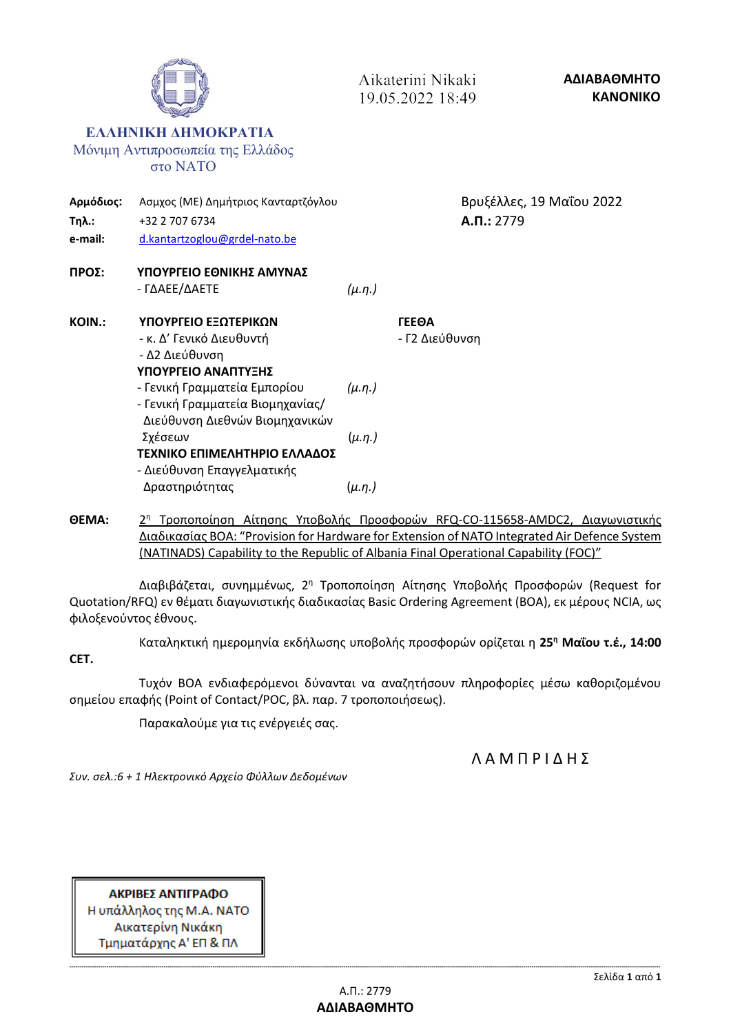|                               |                                                                                                    | 19.05.2022 18:49 |                                       |                                            | <b>KANONIKO</b> |
|-------------------------------|----------------------------------------------------------------------------------------------------|------------------|---------------------------------------|--------------------------------------------|-----------------|
|                               | ЕЛЛНПКН ДНМОКРАТІА<br>Μόνιμη Αντιπροσωπεία της Ελλάδος<br><b>στο ΝΑΤΟ</b>                          |                  |                                       |                                            |                 |
| Αρμόδιος:<br>Τηλ.:<br>e-mail: | Ασμχος (ΜΕ) Δημήτριος Κανταρτζόγλου<br>+32 2 707 6734<br>d.kantartzoglou@grdel-nato.be             |                  |                                       | Βρυξέλλες, 19 Μαΐου 2022<br>$A.\Pi.: 2779$ |                 |
| ΠΡΟΣ:                         | ΥΠΟΥΡΓΕΙΟ ΕΘΝΙΚΗΣ ΑΜΥΝΑΣ<br>- ΓΔΑΕΕ/ΔΑΕΤΕ                                                          | $(\mu.\eta.)$    |                                       |                                            |                 |
| <b>KOIN.:</b>                 | ΥΠΟΥΡΓΕΙΟ ΕΞΩΤΕΡΙΚΩΝ<br>- κ. Δ' Γενικό Διευθυντή<br>- Δ2 Διεύθυνση<br>ΥΠΟΥΡΓΕΙΟ ΑΝΑΠΤΥΞΗΣ          |                  | <b><i>TEEOA</i></b><br>- Γ2 Διεύθυνση |                                            |                 |
|                               | - Γενική Γραμματεία Εμπορίου<br>- Γενική Γραμματεία Βιομηχανίας/<br>Διεύθυνση Διεθνών Βιομηχανικών | $(\mu.\eta.)$    |                                       |                                            |                 |
|                               | Σχέσεων<br>ΤΕΧΝΙΚΟ ΕΠΙΜΕΛΗΤΗΡΙΟ ΕΛΛΑΔΟΣ<br>- Διεύθυνση Επαγγελματικής                              | $(\mu.\eta.)$    |                                       |                                            |                 |
|                               | Δραστηριότητας                                                                                     | $(\mu.\eta.)$    |                                       |                                            |                 |
|                               |                                                                                                    |                  |                                       |                                            |                 |

Aikaterini Nikaki  $10.05.2022.19.40$ 

**ΘΕΜΑ:** 2 2η Τροποποίηση Αίτησης Υποβολής Προσφορών RFQ-CO-115658-AMDC2, Διαγωνιστικής Διαδικασίας ΒΟΑ: "Provision for Hardware for Extension of NATO Integrated Air Defence System (NATINADS) Capability to the Republic of Albania Final Operational Capability (FOC)"

Διαβιβάζεται, συνημμένως, 2<sup>η</sup> Τροποποίηση Αίτησης Υποβολής Προσφορών (Request for Quotation/RFQ) εν θέματι διαγωνιστικής διαδικασίας Basic Ordering Agreement (BOA), εκ μέρους NCIA, ως φιλοξενούντος έθνους.

Καταληκτική ημερομηνία εκδήλωσης υποβολής προσφορών ορίζεται η **25 <sup>η</sup> Μαΐου τ.έ., 14:00**

**CET.**

Τυχόν ΒΟΑ ενδιαφερόμενοι δύνανται να αναζητήσουν πληροφορίες μέσω καθοριζομένου σημείου επαφής (Point of Contact/POC, βλ. παρ. 7 τροποποιήσεως).

Παρακαλούμε για τις ενέργειές σας.

Λ Α Μ Π Ρ Ι Δ Η Σ

*Συν. σελ.:6 + 1 Ηλεκτρονικό Αρχείο Φύλλων Δεδομένων*

ΑΚΡΙΒΕΣ ΑΝΤΙΓΡΑΦΟ Η υπάλληλος της Μ.Α. ΝΑΤΟ Αικατερίνη Νικάκη Τμηματάρχης Α' ΕΠ & ΠΛ

**ΑΔΙΑΒΑΘΜΗΤΟ**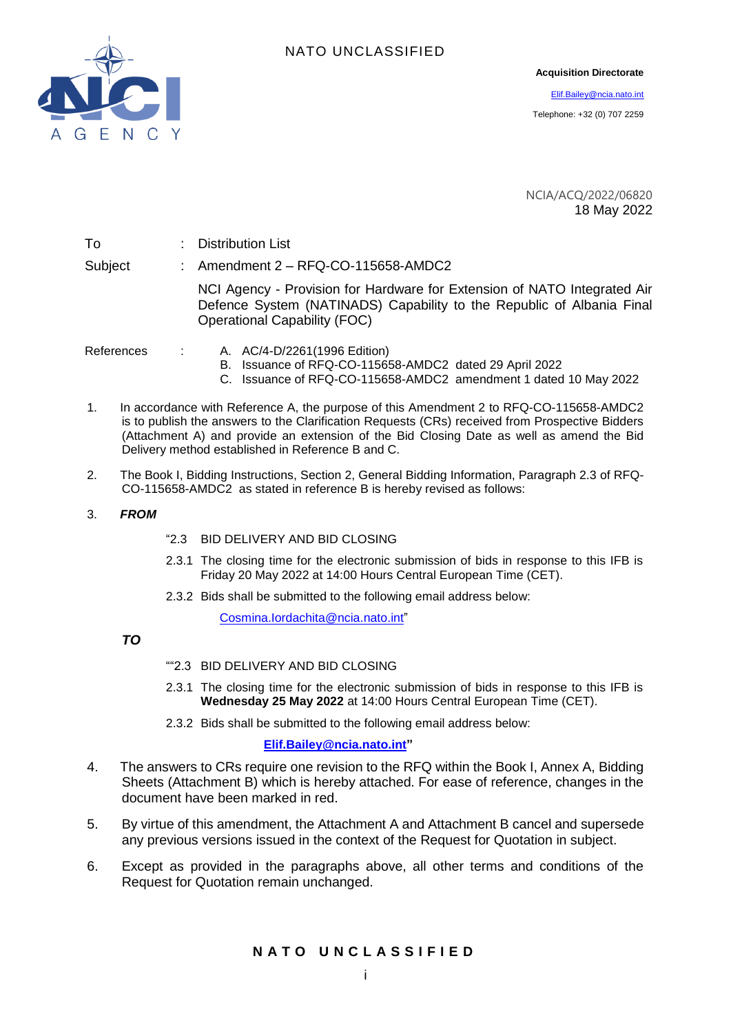

#### **Acquisition Directorate**

[Elif.Bailey@ncia.nato.int](mailto:Elif.Bailey@ncia.nato.int)

Telephone: +32 (0) 707 2259

NCIA/ACQ/2022/06820 18 May 2022

| To         | : Distribution List                                                                                                                                                                      |
|------------|------------------------------------------------------------------------------------------------------------------------------------------------------------------------------------------|
| Subject    | : Amendment $2 - \text{RFQ-CO-115658-AMDC2}$                                                                                                                                             |
|            | NCI Agency - Provision for Hardware for Extension of NATO Integrated Air<br>Defence System (NATINADS) Capability to the Republic of Albania Final<br><b>Operational Capability (FOC)</b> |
| References | A. AC/4-D/2261(1996 Edition)<br>B. Issuance of RFQ-CO-115658-AMDC2 dated 29 April 2022<br>C. Issuance of RFQ-CO-115658-AMDC2 amendment 1 dated 10 May 2022                               |

- 
- 1. In accordance with Reference A, the purpose of this Amendment 2 to RFQ-CO-115658-AMDC2 is to publish the answers to the Clarification Requests (CRs) received from Prospective Bidders (Attachment A) and provide an extension of the Bid Closing Date as well as amend the Bid Delivery method established in Reference B and C.
- 2. The Book I, Bidding Instructions, Section 2, General Bidding Information, Paragraph 2.3 of RFQ-CO-115658-AMDC2 as stated in reference B is hereby revised as follows:
- 3. *FROM*
- "2.3 BID DELIVERY AND BID CLOSING
- 2.3.1 The closing time for the electronic submission of bids in response to this IFB is Friday 20 May 2022 at 14:00 Hours Central European Time (CET).
- 2.3.2 Bids shall be submitted to the following email address below:

[Cosmina.Iordachita@ncia.nato.int"](mailto:Cosmina.Iordachita@ncia.nato.int)

#### *TO*

- ""2.3 BID DELIVERY AND BID CLOSING
- 2.3.1 The closing time for the electronic submission of bids in response to this IFB is **Wednesday 25 May 2022** at 14:00 Hours Central European Time (CET).
- 2.3.2 Bids shall be submitted to the following email address below:

#### **[Elif.Bailey@ncia.nato.int"](mailto:Elif.Bailey@ncia.nato.int)**

- 4. The answers to CRs require one revision to the RFQ within the Book I, Annex A, Bidding Sheets (Attachment B) which is hereby attached. For ease of reference, changes in the document have been marked in red.
- 5. By virtue of this amendment, the Attachment A and Attachment B cancel and supersede any previous versions issued in the context of the Request for Quotation in subject.
- 6. Except as provided in the paragraphs above, all other terms and conditions of the Request for Quotation remain unchanged.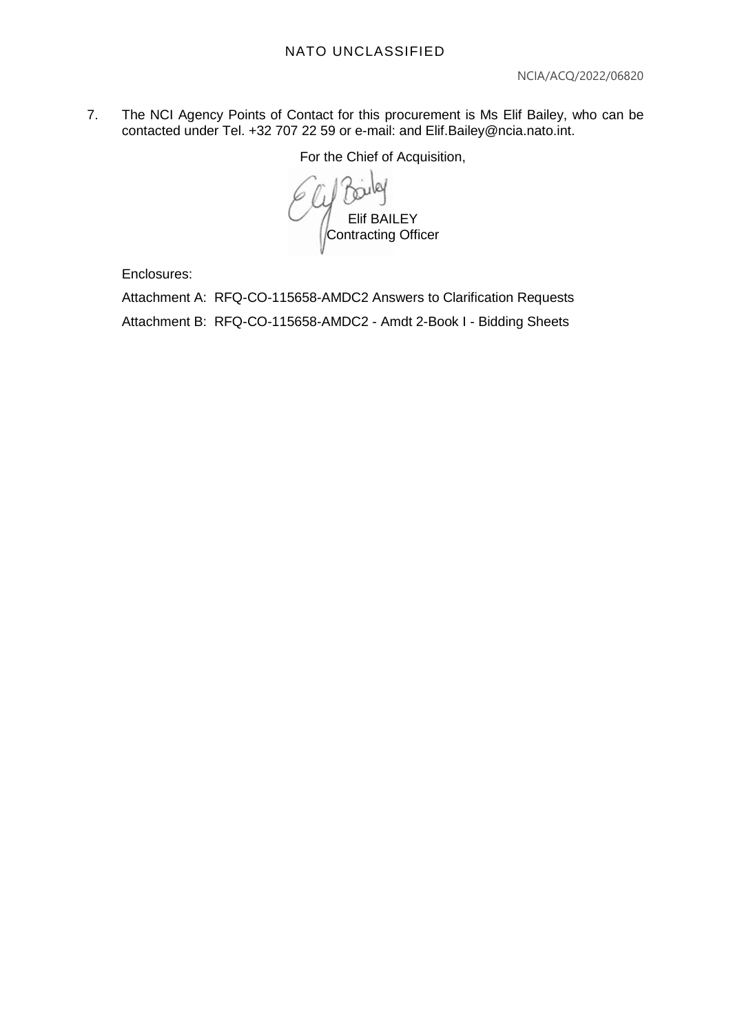7. The NCI Agency Points of Contact for this procurement is Ms Elif Bailey, who can be contacted under Tel. +32 707 22 59 or e-mail: and Elif.Bailey@ncia.nato.int.

For the Chief of Acquisition,

Elif BAILEY Contracting Officer

Enclosures:

Attachment A: RFQ-CO-115658-AMDC2 Answers to Clarification Requests Attachment B: RFQ-CO-115658-AMDC2 - Amdt 2-Book I - Bidding Sheets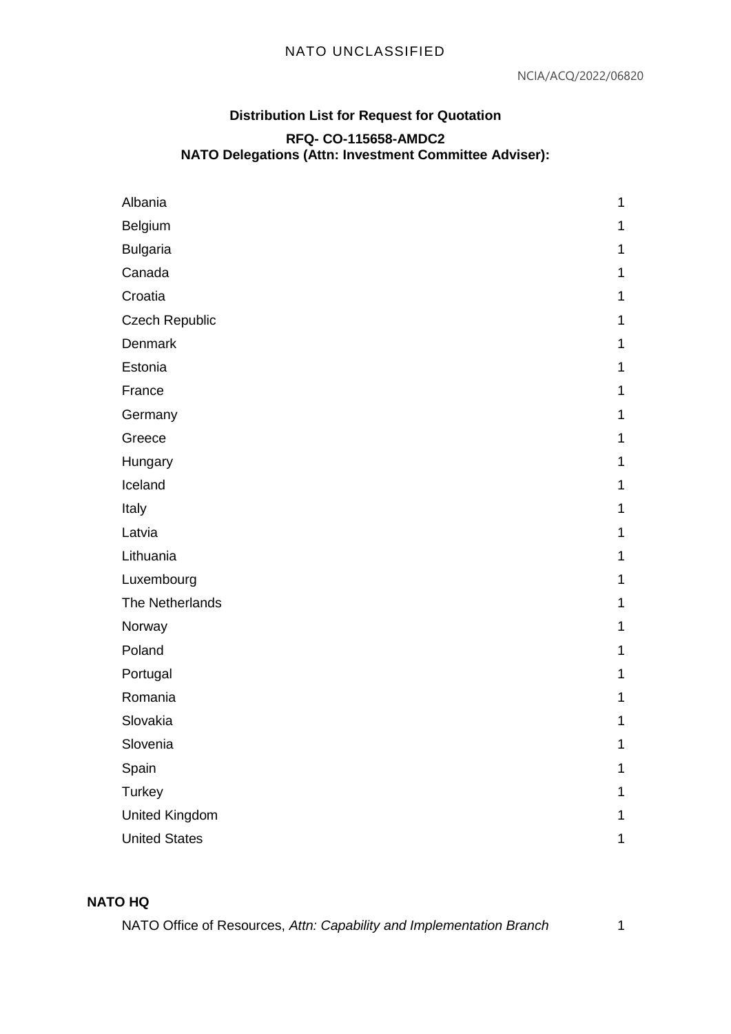# **Distribution List for Request for Quotation RFQ- CO-115658-AMDC2 NATO Delegations (Attn: Investment Committee Adviser):**

| Albania               | 1 |
|-----------------------|---|
| Belgium               | 1 |
| <b>Bulgaria</b>       | 1 |
| Canada                | 1 |
| Croatia               | 1 |
| <b>Czech Republic</b> | 1 |
| Denmark               | 1 |
| Estonia               | 1 |
| France                | 1 |
| Germany               | 1 |
| Greece                | 1 |
| Hungary               | 1 |
| Iceland               | 1 |
| Italy                 | 1 |
| Latvia                | 1 |
| Lithuania             | 1 |
| Luxembourg            | 1 |
| The Netherlands       | 1 |
| Norway                | 1 |
| Poland                | 1 |
| Portugal              | 1 |
| Romania               | 1 |
| Slovakia              | 1 |
| Slovenia              | 1 |
| Spain                 | 1 |
| Turkey                | 1 |
| <b>United Kingdom</b> | 1 |
| <b>United States</b>  | 1 |
|                       |   |

# **NATO HQ**

NATO Office of Resources, *Attn: Capability and Implementation Branch* 1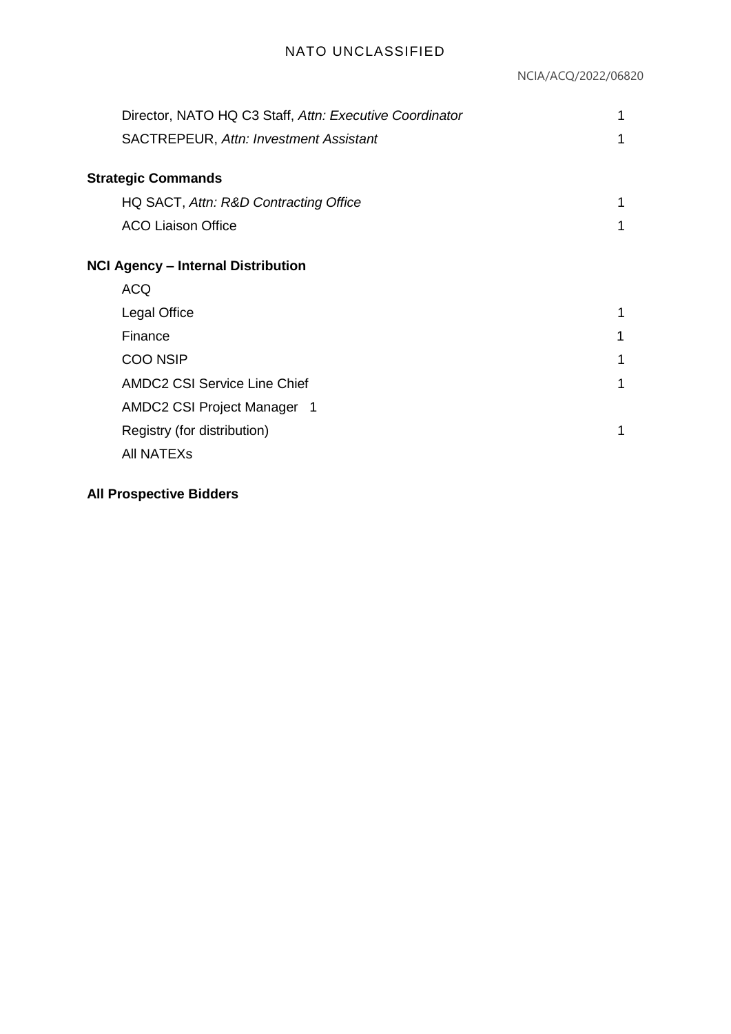| Director, NATO HQ C3 Staff, Attn: Executive Coordinator | 1 |
|---------------------------------------------------------|---|
| <b>SACTREPEUR, Attn: Investment Assistant</b>           | 1 |
| <b>Strategic Commands</b>                               |   |
|                                                         |   |
| HQ SACT, Attn: R&D Contracting Office                   | 1 |
| <b>ACO Liaison Office</b>                               | 1 |
| <b>NCI Agency - Internal Distribution</b>               |   |
|                                                         |   |
| <b>ACQ</b>                                              |   |
| <b>Legal Office</b>                                     | 1 |
| Finance                                                 | 1 |
| <b>COO NSIP</b>                                         | 1 |
| <b>AMDC2 CSI Service Line Chief</b>                     | 1 |
| AMDC2 CSI Project Manager 1                             |   |
| Registry (for distribution)                             | 1 |
| <b>AII NATEXS</b>                                       |   |

# **All Prospective Bidders**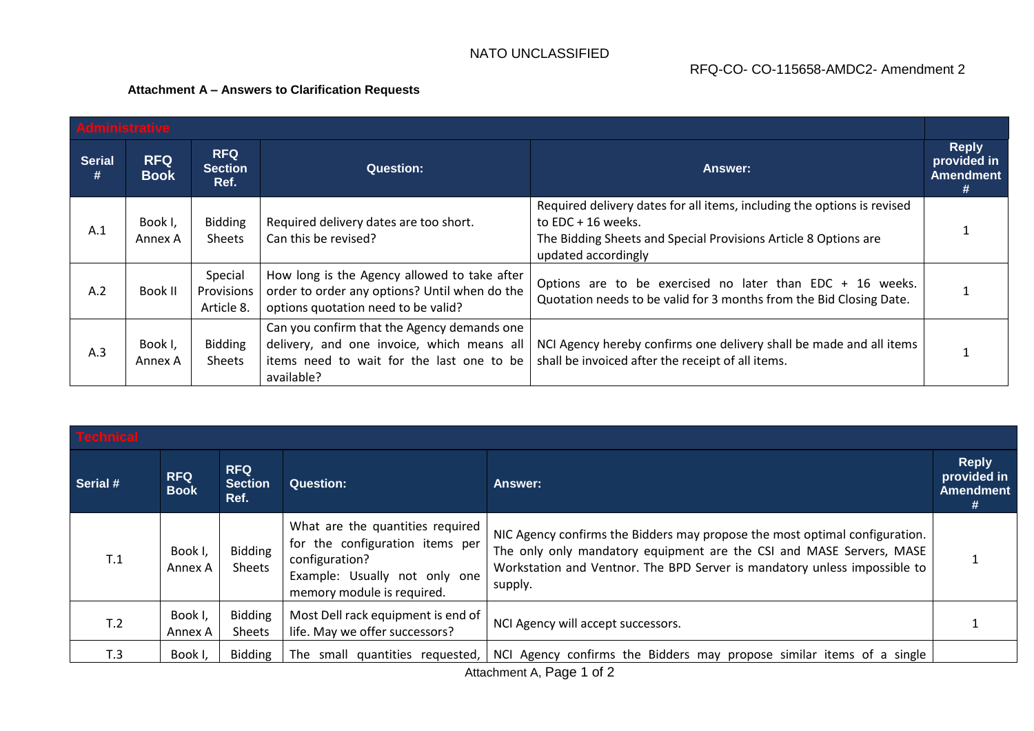### RFQ-CO- CO-115658-AMDC2- Amendment 2

#### **Attachment A – Answers to Clarification Requests**

| Administrative     |                           |                                      |                                                                                                                                                      |                                                                                                                                                                                           |                                                      |
|--------------------|---------------------------|--------------------------------------|------------------------------------------------------------------------------------------------------------------------------------------------------|-------------------------------------------------------------------------------------------------------------------------------------------------------------------------------------------|------------------------------------------------------|
| <b>Serial</b><br># | <b>RFQ</b><br><b>Book</b> | <b>RFQ</b><br><b>Section</b><br>Ref. | <b>Question:</b>                                                                                                                                     | Answer:                                                                                                                                                                                   | <b>Reply</b><br>provided in<br><b>Amendment</b><br># |
| A.1                | Book I,<br>Annex A        | <b>Bidding</b><br><b>Sheets</b>      | Required delivery dates are too short.<br>Can this be revised?                                                                                       | Required delivery dates for all items, including the options is revised<br>to $EDC + 16$ weeks.<br>The Bidding Sheets and Special Provisions Article 8 Options are<br>updated accordingly |                                                      |
| A.2                | Book II                   | Special<br>Provisions<br>Article 8.  | How long is the Agency allowed to take after<br>order to order any options? Until when do the<br>options quotation need to be valid?                 | Options are to be exercised no later than EDC + 16 weeks.<br>Quotation needs to be valid for 3 months from the Bid Closing Date.                                                          |                                                      |
| A.3                | Book I,<br>Annex A        | <b>Bidding</b><br><b>Sheets</b>      | Can you confirm that the Agency demands one<br>delivery, and one invoice, which means all<br>items need to wait for the last one to be<br>available? | NCI Agency hereby confirms one delivery shall be made and all items<br>shall be invoiced after the receipt of all items.                                                                  |                                                      |

| Technical       |                           |                                      |                                                                                                                                                      |                                                                                                                                                                                                                                             |                                                      |
|-----------------|---------------------------|--------------------------------------|------------------------------------------------------------------------------------------------------------------------------------------------------|---------------------------------------------------------------------------------------------------------------------------------------------------------------------------------------------------------------------------------------------|------------------------------------------------------|
| Serial #        | <b>RFQ</b><br><b>Book</b> | <b>RFQ</b><br><b>Section</b><br>Ref. | <b>Question:</b>                                                                                                                                     | <b>Answer:</b>                                                                                                                                                                                                                              | <b>Reply</b><br>provided in<br><b>Amendment</b><br># |
| T.1             | Book I,<br>Annex A        | <b>Bidding</b><br>Sheets             | What are the quantities required<br>for the configuration items per<br>configuration?<br>Example: Usually not only one<br>memory module is required. | NIC Agency confirms the Bidders may propose the most optimal configuration.<br>The only only mandatory equipment are the CSI and MASE Servers, MASE<br>Workstation and Ventnor. The BPD Server is mandatory unless impossible to<br>supply. |                                                      |
| T <sub>.2</sub> | Book I,<br>Annex A        | <b>Bidding</b><br>Sheets             | Most Dell rack equipment is end of<br>life. May we offer successors?                                                                                 | NCI Agency will accept successors.                                                                                                                                                                                                          |                                                      |
| T.3             | Book I                    | <b>Bidding</b>                       | The small quantities requested,                                                                                                                      | NCI Agency confirms the Bidders may propose similar items of a single                                                                                                                                                                       |                                                      |